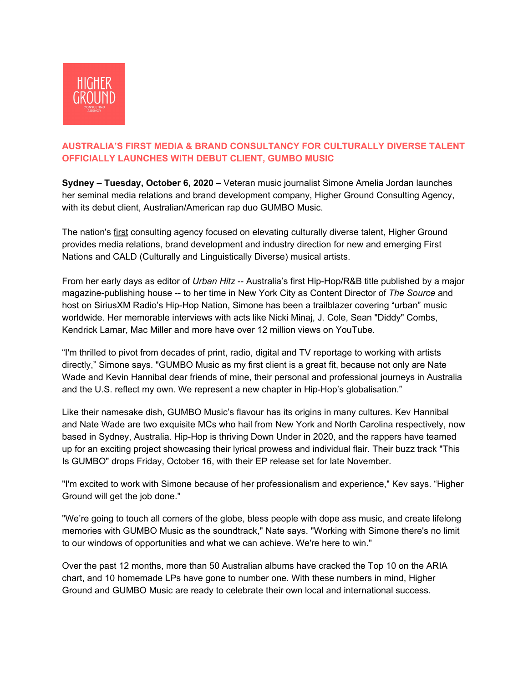

# **AUSTRALIA'S FIRST MEDIA & BRAND CONSULTANCY FOR CULTURALLY DIVERSE TALENT OFFICIALLY LAUNCHES WITH DEBUT CLIENT, GUMBO MUSIC**

**Sydney – Tuesday, October 6, 2020 –** Veteran music journalist Simone Amelia Jordan launches her seminal media relations and brand development company, Higher Ground Consulting Agency, with its debut client, Australian/American rap duo GUMBO Music.

The nation's first consulting agency focused on elevating culturally diverse talent, Higher Ground provides media relations, brand development and industry direction for new and emerging First Nations and CALD (Culturally and Linguistically Diverse) musical artists.

From her early days as editor of *Urban Hitz* -- Australia's first Hip-Hop/R&B title published by a major magazine-publishing house -- to her time in New York City as Content Director of *The Source* and host on SiriusXM Radio's Hip-Hop Nation, Simone has been a trailblazer covering "urban" music worldwide. Her memorable interviews with acts like Nicki Minaj, J. Cole, Sean "Diddy" Combs, Kendrick Lamar, Mac Miller and more have over 12 million views on YouTube.

"I'm thrilled to pivot from decades of print, radio, digital and TV reportage to working with artists directly," Simone says. "GUMBO Music as my first client is a great fit, because not only are Nate Wade and Kevin Hannibal dear friends of mine, their personal and professional journeys in Australia and the U.S. reflect my own. We represent a new chapter in Hip-Hop's globalisation."

Like their namesake dish, GUMBO Music's flavour has its origins in many cultures. Kev Hannibal and Nate Wade are two exquisite MCs who hail from New York and North Carolina respectively, now based in Sydney, Australia. Hip-Hop is thriving Down Under in 2020, and the rappers have teamed up for an exciting project showcasing their lyrical prowess and individual flair. Their buzz track "This Is GUMBO" drops Friday, October 16, with their EP release set for late November.

"I'm excited to work with Simone because of her professionalism and experience," Kev says. "Higher Ground will get the job done."

"We're going to touch all corners of the globe, bless people with dope ass music, and create lifelong memories with GUMBO Music as the soundtrack," Nate says. "Working with Simone there's no limit to our windows of opportunities and what we can achieve. We're here to win."

Over the past 12 months, more than 50 Australian albums have cracked the Top 10 on the ARIA chart, and 10 homemade LPs have gone to number one. With these numbers in mind, Higher Ground and GUMBO Music are ready to celebrate their own local and international success.